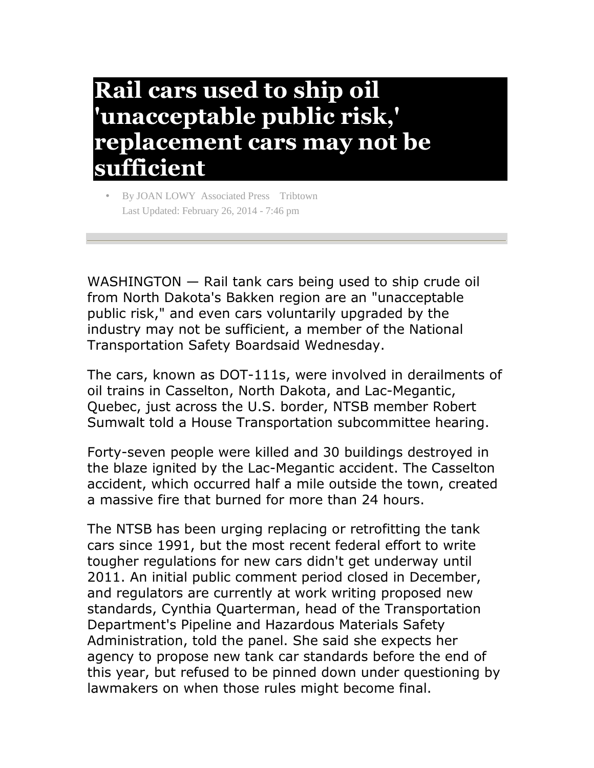## **Rail cars used to ship oil 'unacceptable public risk,' replacement cars may not be sufficient**

• By JOAN LOWY Associated Press Tribtown Last Updated: February 26, 2014 - 7:46 pm

WASHINGTON — Rail tank cars being used to ship crude oil from North Dakota's Bakken region are an "unacceptable public risk," and even cars voluntarily upgraded by the industry may not be sufficient, a member of the National Transportation Safety Boardsaid Wednesday.

The cars, known as DOT-111s, were involved in derailments of oil trains in Casselton, North Dakota, and Lac-Megantic, Quebec, just across the U.S. border, NTSB member Robert Sumwalt told a House Transportation subcommittee hearing.

Forty-seven people were killed and 30 buildings destroyed in the blaze ignited by the Lac-Megantic accident. The Casselton accident, which occurred half a mile outside the town, created a massive fire that burned for more than 24 hours.

The NTSB has been urging replacing or retrofitting the tank cars since 1991, but the most recent federal effort to write tougher regulations for new cars didn't get underway until 2011. An initial public comment period closed in December, and regulators are currently at work writing proposed new standards, Cynthia Quarterman, head of the Transportation Department's Pipeline and Hazardous Materials Safety Administration, told the panel. She said she expects her agency to propose new tank car standards before the end of this year, but refused to be pinned down under questioning by lawmakers on when those rules might become final.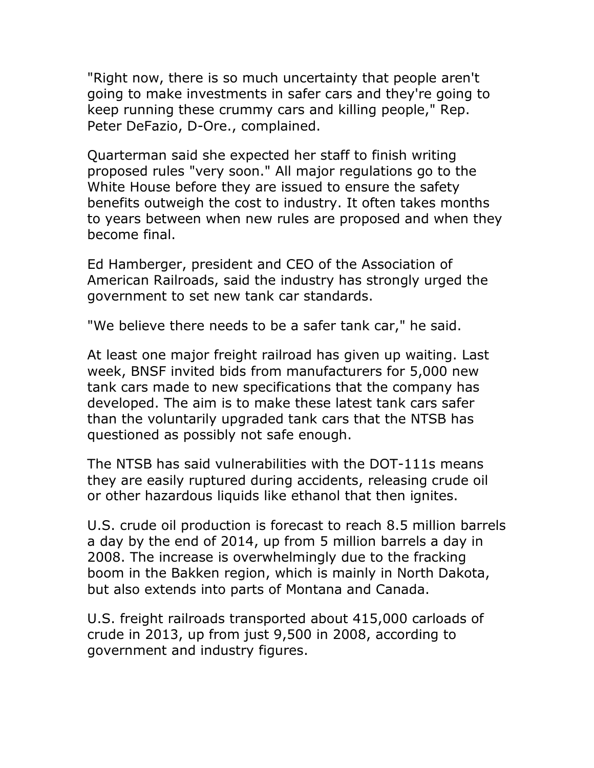"Right now, there is so much uncertainty that people aren't going to make investments in safer cars and they're going to keep running these crummy cars and killing people," Rep. Peter DeFazio, D-Ore., complained.

Quarterman said she expected her staff to finish writing proposed rules "very soon." All major regulations go to the White House before they are issued to ensure the safety benefits outweigh the cost to industry. It often takes months to years between when new rules are proposed and when they become final.

Ed Hamberger, president and CEO of the Association of American Railroads, said the industry has strongly urged the government to set new tank car standards.

"We believe there needs to be a safer tank car," he said.

At least one major freight railroad has given up waiting. Last week, BNSF invited bids from manufacturers for 5,000 new tank cars made to new specifications that the company has developed. The aim is to make these latest tank cars safer than the voluntarily upgraded tank cars that the NTSB has questioned as possibly not safe enough.

The NTSB has said vulnerabilities with the DOT-111s means they are easily ruptured during accidents, releasing crude oil or other hazardous liquids like ethanol that then ignites.

U.S. crude oil production is forecast to reach 8.5 million barrels a day by the end of 2014, up from 5 million barrels a day in 2008. The increase is overwhelmingly due to the fracking boom in the Bakken region, which is mainly in North Dakota, but also extends into parts of Montana and Canada.

U.S. freight railroads transported about 415,000 carloads of crude in 2013, up from just 9,500 in 2008, according to government and industry figures.